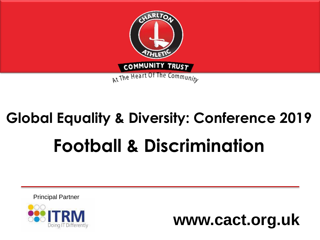

# **Global Equality & Diversity: Conference 2019 Football & Discrimination**

Principal Partner



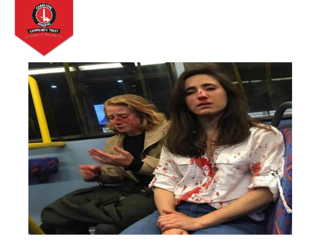

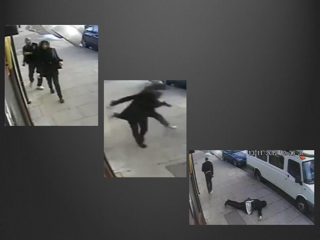



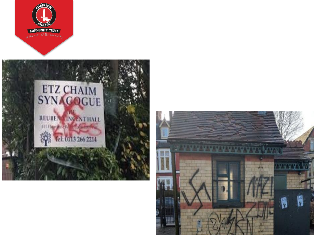



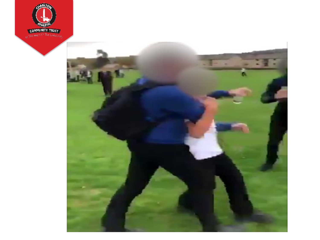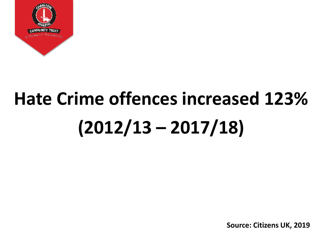

# **Hate Crime offences increased 123% (2012/13 – 2017/18)**

**Source: Citizens UK, 2019**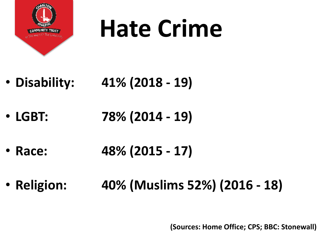

# **Hate Crime**

- **Disability: 41% (2018 - 19)**
- **LGBT: 78% (2014 - 19)**
- **Race: 48% (2015 - 17)**
- **Religion: 40% (Muslims 52%) (2016 - 18)**

**(Sources: Home Office; CPS; BBC: Stonewall)**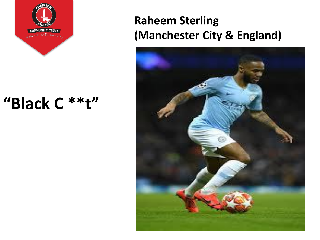

#### **"Black C \*\*t"**

#### **Raheem Sterling (Manchester City & England)**

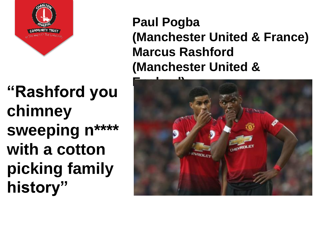

#### **England) "Rashford you chimney sweeping n\*\*\*\* with a cotton picking family history"**

**Paul Pogba (Manchester United & France) Marcus Rashford (Manchester United &** 

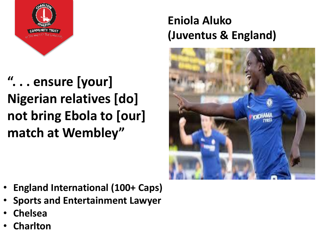

**". . . ensure [your] Nigerian relatives [do] not bring Ebola to [our] match at Wembley"**

#### **Eniola Aluko (Juventus & England)**



- **England International (100+ Caps)**
- **Sports and Entertainment Lawyer**
- **Chelsea**
- **Charlton**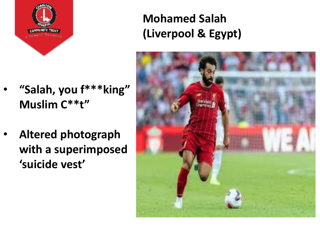

- **"Salah, you f\*\*\*king" Muslim C\*\*t"**
- **Altered photograph with a superimposed 'suicide vest'**

#### **Mohamed Salah (Liverpool & Egypt)**

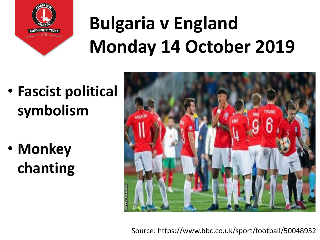

# **Bulgaria v England Monday 14 October 2019**

- **Fascist political symbolism**
- **Monkey chanting**



Source: https://www.bbc.co.uk/sport/football/50048932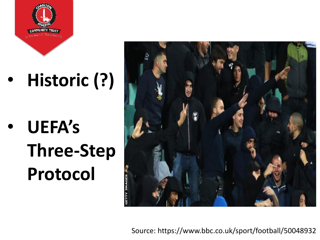

# • **Historic (?)**

# • **UEFA's Three-Step Protocol**



Source: https://www.bbc.co.uk/sport/football/50048932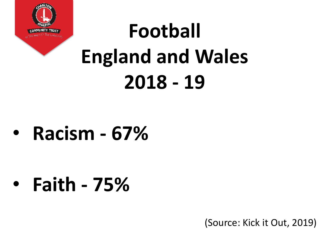

# **Football England and Wales 2018 - 19**

#### • **Racism - 67%**

#### • **Faith - 75%**

(Source: Kick it Out, 2019)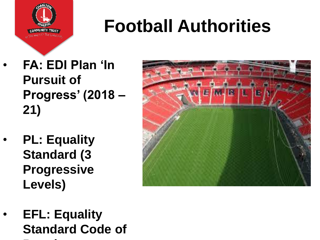

## **Football Authorities**

- **FA: EDI Plan 'In Pursuit of Progress' (2018 – 21)**
- **PL: Equality Standard (3 Progressive Levels)**



- **EFL: Equality Standard Code of Products** and the products of the products of the products of the products of the products of the products of the products of the products of the products of the products of the products of the products of the products of
	-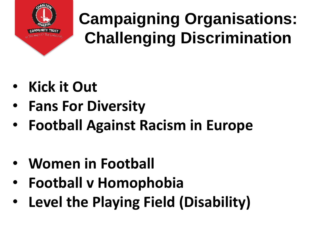

#### **Campaigning Organisations: Challenging Discrimination**

- **Kick it Out**
- **Fans For Diversity**
- **Football Against Racism in Europe**
- **Women in Football**
- **Football v Homophobia**
- **Level the Playing Field (Disability)**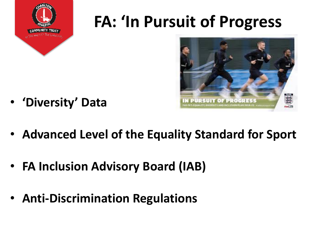

#### **FA: 'In Pursuit of Progress**



- **'Diversity' Data**
- **Advanced Level of the Equality Standard for Sport**
- **FA Inclusion Advisory Board (IAB)**
- **Anti-Discrimination Regulations**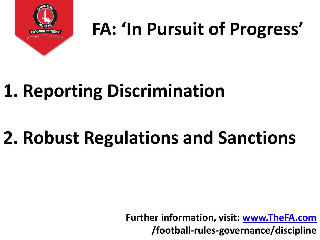

## **FA: 'In Pursuit of Progress'**

#### **1. Reporting Discrimination**

## **2. Robust Regulations and Sanctions**

**Further information, visit: [www.TheFA.com](http://www.thefa.com/) /football-rules-governance/discipline**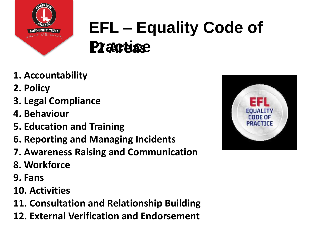

#### **EFL – Equality Code of Practice 12 Areas**

- **1. Accountability**
- **2. Policy**
- **3. Legal Compliance**
- **4. Behaviour**
- **5. Education and Training**
- **6. Reporting and Managing Incidents**
- **7. Awareness Raising and Communication**
- **8. Workforce**
- **9. Fans**
- **10. Activities**
- **11. Consultation and Relationship Building**
- **12. External Verification and Endorsement**

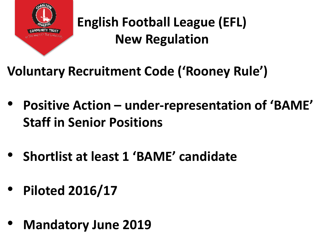

**English Football League (EFL) New Regulation**

**Voluntary Recruitment Code ('Rooney Rule')**

- **Positive Action – under-representation of 'BAME' Staff in Senior Positions**
- **Shortlist at least 1 'BAME' candidate**
- **Piloted 2016/17**
- **Mandatory June 2019**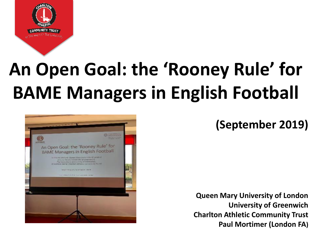

## **An Open Goal: the 'Rooney Rule' for BAME Managers in English Football**



#### **(September 2019)**

**Queen Mary University of London University of Greenwich Charlton Athletic Community Trust Paul Mortimer (London FA)**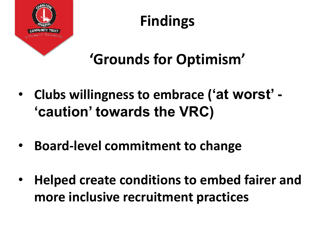

#### **Findings**

#### **'Grounds for Optimism'**

- **Clubs willingness to embrace ('at worst' 'caution' towards the VRC)**
- **Board-level commitment to change**
- **Helped create conditions to embed fairer and more inclusive recruitment practices**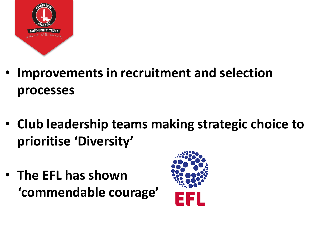

- **Improvements in recruitment and selection processes**
- **Club leadership teams making strategic choice to prioritise 'Diversity'**
- **The EFL has shown 'commendable courage'**

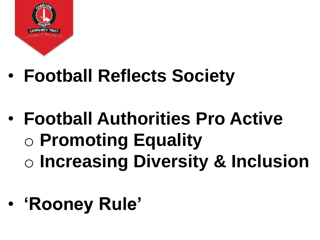

## • **Football Reflects Society**

- **Football Authorities Pro Active** o **Promoting Equality** o **Increasing Diversity & Inclusion**
- **'Rooney Rule'**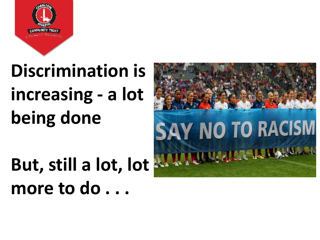

# **Discrimination is increasing - a lot being done**

# **more to do . . .**